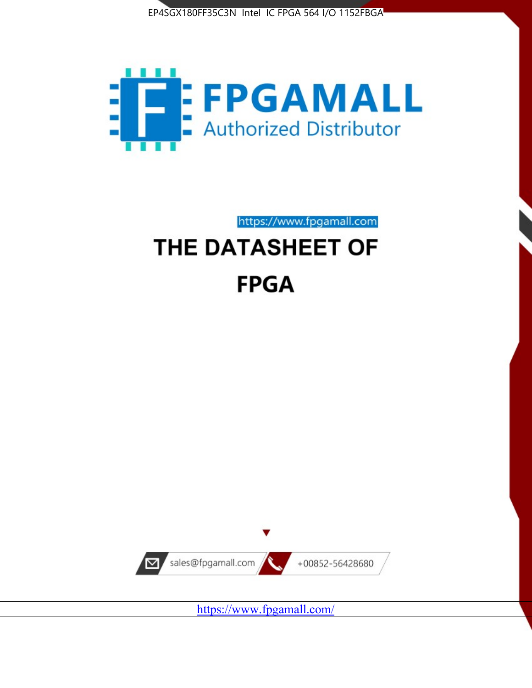



https://www.fpgamall.com

# THE DATASHEET OF **FPGA**



<https://www.fpgamall.com/>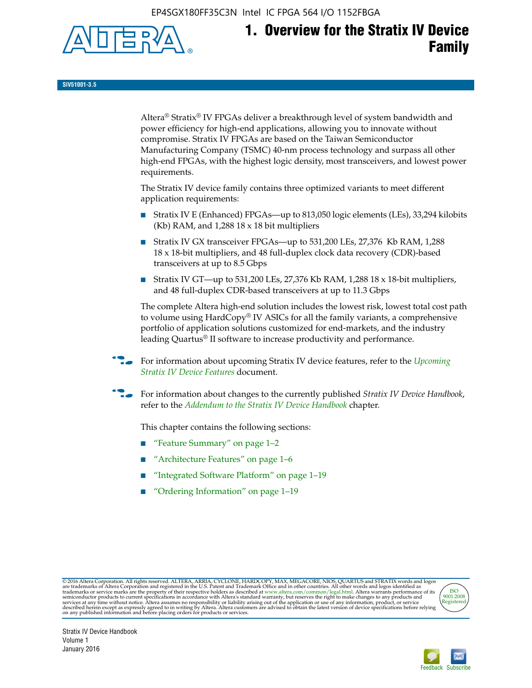EP4SGX180FF35C3N Intel IC FPGA 564 I/O 1152FBGA



# **1. Overview for the Stratix IV Device Family**

**SIV51001-3.5**

 $\operatorname{Altera}^{\circledast}$  Stratix<br>® IV FPGAs deliver a breakthrough level of system bandwidth and power efficiency for high-end applications, allowing you to innovate without compromise. Stratix IV FPGAs are based on the Taiwan Semiconductor Manufacturing Company (TSMC) 40-nm process technology and surpass all other high-end FPGAs, with the highest logic density, most transceivers, and lowest power requirements.

The Stratix IV device family contains three optimized variants to meet different application requirements:

- Stratix IV E (Enhanced) FPGAs—up to 813,050 logic elements (LEs), 33,294 kilobits (Kb) RAM, and 1,288 18 x 18 bit multipliers
- Stratix IV GX transceiver FPGAs—up to 531,200 LEs, 27,376 Kb RAM, 1,288 18 x 18-bit multipliers, and 48 full-duplex clock data recovery (CDR)-based transceivers at up to 8.5 Gbps
- Stratix IV GT—up to 531,200 LEs, 27,376 Kb RAM, 1,288 18 x 18-bit multipliers, and 48 full-duplex CDR-based transceivers at up to 11.3 Gbps

The complete Altera high-end solution includes the lowest risk, lowest total cost path to volume using HardCopy® IV ASICs for all the family variants, a comprehensive portfolio of application solutions customized for end-markets, and the industry leading Quartus® II software to increase productivity and performance.

For information about upcoming Stratix IV device features, refer to the *Upcoming [Stratix IV Device Features](http://www.altera.com/literature/hb/stratix-iv/uf01001.pdf?GSA_pos=2&WT.oss_r=1&WT.oss=upcoming)* document.

f For information about changes to the currently published *Stratix IV Device Handbook*, refer to the *[Addendum to the Stratix IV Device Handbook](http://www.altera.com/literature/hb/stratix-iv/stx4_siv54002.pdf)* chapter.

This chapter contains the following sections:

- "Feature Summary" on page 1–2
- "Architecture Features" on page 1–6
- "Integrated Software Platform" on page 1–19
- "Ordering Information" on page 1–19

@2016 Altera Corporation. All rights reserved. ALTERA, ARRIA, CYCLONE, HARDCOPY, MAX, MEGACORE, NIOS, QUARTUS and STRATIX words and logos are trademarks of Altera Corporation and registered in the U.S. Patent and Trademark



Stratix IV Device Handbook Volume 1 January 2016

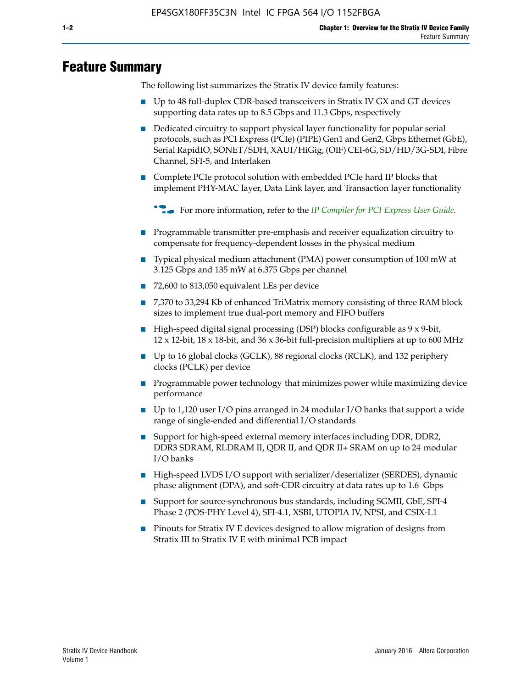# **Feature Summary**

The following list summarizes the Stratix IV device family features:

- Up to 48 full-duplex CDR-based transceivers in Stratix IV GX and GT devices supporting data rates up to 8.5 Gbps and 11.3 Gbps, respectively
- Dedicated circuitry to support physical layer functionality for popular serial protocols, such as PCI Express (PCIe) (PIPE) Gen1 and Gen2, Gbps Ethernet (GbE), Serial RapidIO, SONET/SDH, XAUI/HiGig, (OIF) CEI-6G, SD/HD/3G-SDI, Fibre Channel, SFI-5, and Interlaken
- Complete PCIe protocol solution with embedded PCIe hard IP blocks that implement PHY-MAC layer, Data Link layer, and Transaction layer functionality

**For more information, refer to the** *[IP Compiler for PCI Express User Guide](http://www.altera.com/literature/ug/ug_pci_express.pdf)***.** 

- Programmable transmitter pre-emphasis and receiver equalization circuitry to compensate for frequency-dependent losses in the physical medium
- Typical physical medium attachment (PMA) power consumption of 100 mW at 3.125 Gbps and 135 mW at 6.375 Gbps per channel
- 72,600 to 813,050 equivalent LEs per device
- 7,370 to 33,294 Kb of enhanced TriMatrix memory consisting of three RAM block sizes to implement true dual-port memory and FIFO buffers
- High-speed digital signal processing (DSP) blocks configurable as 9 x 9-bit,  $12 \times 12$ -bit,  $18 \times 18$ -bit, and  $36 \times 36$ -bit full-precision multipliers at up to 600 MHz
- Up to 16 global clocks (GCLK), 88 regional clocks (RCLK), and 132 periphery clocks (PCLK) per device
- Programmable power technology that minimizes power while maximizing device performance
- Up to 1,120 user I/O pins arranged in 24 modular I/O banks that support a wide range of single-ended and differential I/O standards
- Support for high-speed external memory interfaces including DDR, DDR2, DDR3 SDRAM, RLDRAM II, QDR II, and QDR II+ SRAM on up to 24 modular I/O banks
- High-speed LVDS I/O support with serializer/deserializer (SERDES), dynamic phase alignment (DPA), and soft-CDR circuitry at data rates up to 1.6 Gbps
- Support for source-synchronous bus standards, including SGMII, GbE, SPI-4 Phase 2 (POS-PHY Level 4), SFI-4.1, XSBI, UTOPIA IV, NPSI, and CSIX-L1
- Pinouts for Stratix IV E devices designed to allow migration of designs from Stratix III to Stratix IV E with minimal PCB impact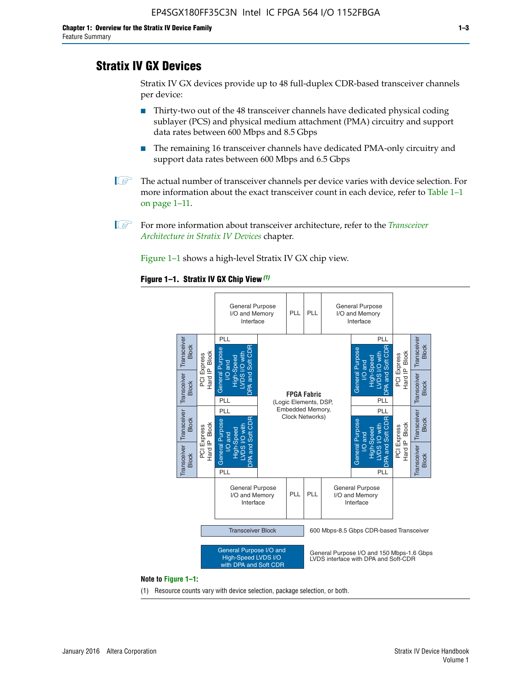# **Stratix IV GX Devices**

Stratix IV GX devices provide up to 48 full-duplex CDR-based transceiver channels per device:

- Thirty-two out of the 48 transceiver channels have dedicated physical coding sublayer (PCS) and physical medium attachment (PMA) circuitry and support data rates between 600 Mbps and 8.5 Gbps
- The remaining 16 transceiver channels have dedicated PMA-only circuitry and support data rates between 600 Mbps and 6.5 Gbps
- **1 The actual number of transceiver channels per device varies with device selection. For** more information about the exact transceiver count in each device, refer to Table 1–1 on page 1–11.
- 1 For more information about transceiver architecture, refer to the *[Transceiver](http://www.altera.com/literature/hb/stratix-iv/stx4_siv52001.pdf)  [Architecture in Stratix IV Devices](http://www.altera.com/literature/hb/stratix-iv/stx4_siv52001.pdf)* chapter.

Figure 1–1 shows a high-level Stratix IV GX chip view.

#### **Figure 1–1. Stratix IV GX Chip View** *(1)*



#### **Note to Figure 1–1:**

(1) Resource counts vary with device selection, package selection, or both.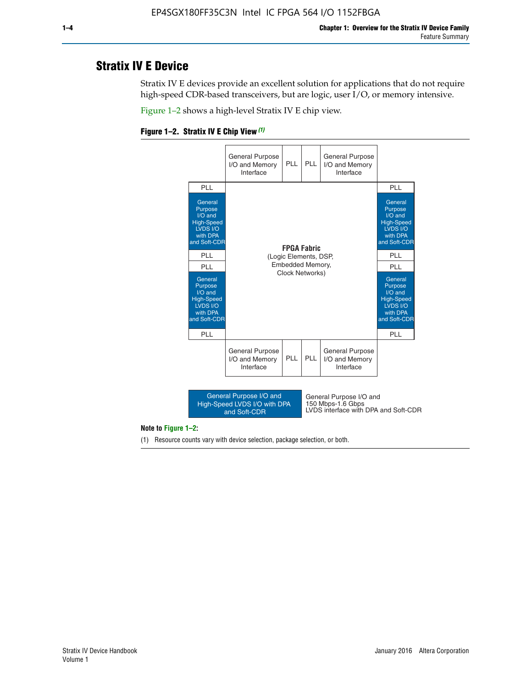# **Stratix IV E Device**

Stratix IV E devices provide an excellent solution for applications that do not require high-speed CDR-based transceivers, but are logic, user I/O, or memory intensive.

Figure 1–2 shows a high-level Stratix IV E chip view.





#### **Note to Figure 1–2:**

(1) Resource counts vary with device selection, package selection, or both.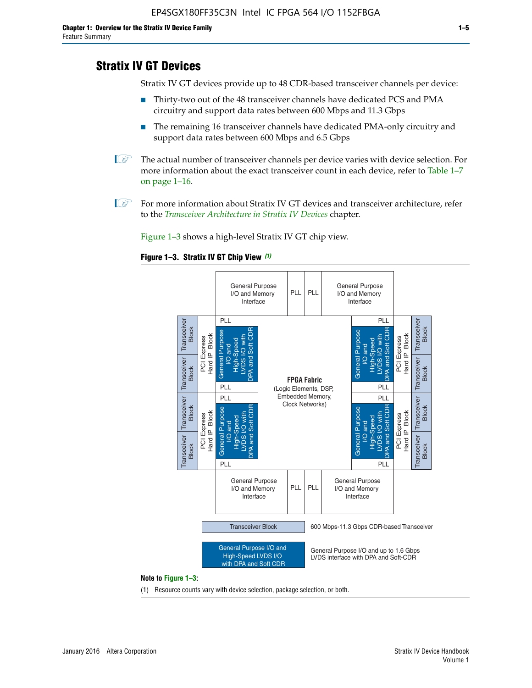# **Stratix IV GT Devices**

Stratix IV GT devices provide up to 48 CDR-based transceiver channels per device:

- Thirty-two out of the 48 transceiver channels have dedicated PCS and PMA circuitry and support data rates between 600 Mbps and 11.3 Gbps
- The remaining 16 transceiver channels have dedicated PMA-only circuitry and support data rates between 600 Mbps and 6.5 Gbps
- **1** The actual number of transceiver channels per device varies with device selection. For more information about the exact transceiver count in each device, refer to Table 1–7 on page 1–16.
- $\mathbb{I}$  For more information about Stratix IV GT devices and transceiver architecture, refer to the *[Transceiver Architecture in Stratix IV Devices](http://www.altera.com/literature/hb/stratix-iv/stx4_siv52001.pdf)* chapter.

Figure 1–3 shows a high-level Stratix IV GT chip view.





(1) Resource counts vary with device selection, package selection, or both.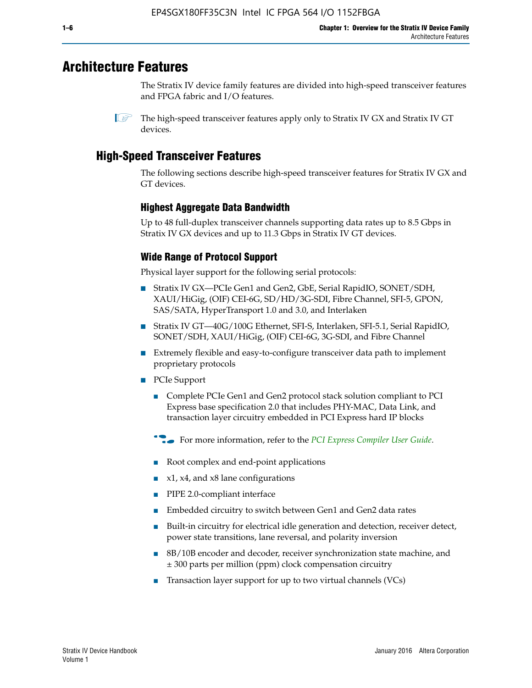# **Architecture Features**

The Stratix IV device family features are divided into high-speed transceiver features and FPGA fabric and I/O features.

# **High-Speed Transceiver Features**

The following sections describe high-speed transceiver features for Stratix IV GX and GT devices.

# **Highest Aggregate Data Bandwidth**

Up to 48 full-duplex transceiver channels supporting data rates up to 8.5 Gbps in Stratix IV GX devices and up to 11.3 Gbps in Stratix IV GT devices.

# **Wide Range of Protocol Support**

Physical layer support for the following serial protocols:

- Stratix IV GX—PCIe Gen1 and Gen2, GbE, Serial RapidIO, SONET/SDH, XAUI/HiGig, (OIF) CEI-6G, SD/HD/3G-SDI, Fibre Channel, SFI-5, GPON, SAS/SATA, HyperTransport 1.0 and 3.0, and Interlaken
- Stratix IV GT—40G/100G Ethernet, SFI-S, Interlaken, SFI-5.1, Serial RapidIO, SONET/SDH, XAUI/HiGig, (OIF) CEI-6G, 3G-SDI, and Fibre Channel
- Extremely flexible and easy-to-configure transceiver data path to implement proprietary protocols
- PCIe Support
	- Complete PCIe Gen1 and Gen2 protocol stack solution compliant to PCI Express base specification 2.0 that includes PHY-MAC, Data Link, and transaction layer circuitry embedded in PCI Express hard IP blocks
	- **For more information, refer to the [PCI Express Compiler User Guide](http://www.altera.com/literature/ug/ug_pci_express.pdf).**
	- Root complex and end-point applications
	- $x1, x4,$  and  $x8$  lane configurations
	- PIPE 2.0-compliant interface
	- Embedded circuitry to switch between Gen1 and Gen2 data rates
	- Built-in circuitry for electrical idle generation and detection, receiver detect, power state transitions, lane reversal, and polarity inversion
	- 8B/10B encoder and decoder, receiver synchronization state machine, and ± 300 parts per million (ppm) clock compensation circuitry
	- Transaction layer support for up to two virtual channels (VCs)

 $\mathbb{I}$  The high-speed transceiver features apply only to Stratix IV GX and Stratix IV GT devices.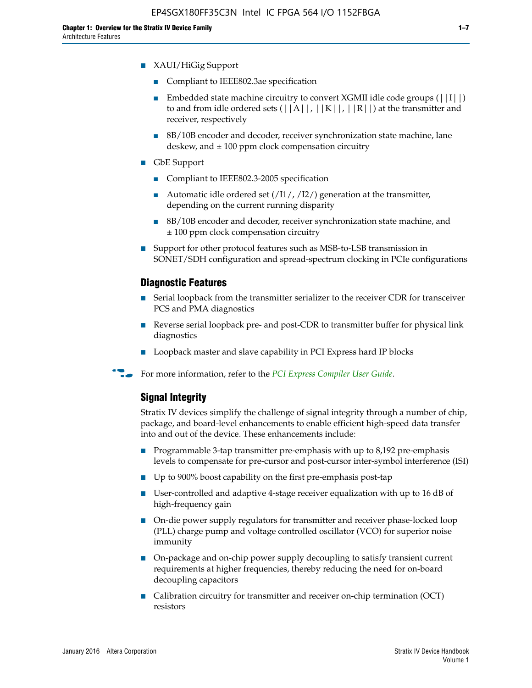- XAUI/HiGig Support
	- Compliant to IEEE802.3ae specification
	- **■** Embedded state machine circuitry to convert XGMII idle code groups  $(|11|)$ to and from idle ordered sets  $(|A|, |K|, |R|)$  at the transmitter and receiver, respectively
	- 8B/10B encoder and decoder, receiver synchronization state machine, lane deskew, and  $\pm 100$  ppm clock compensation circuitry
- GbE Support
	- Compliant to IEEE802.3-2005 specification
	- Automatic idle ordered set  $(111/112/1)$  generation at the transmitter, depending on the current running disparity
	- 8B/10B encoder and decoder, receiver synchronization state machine, and ± 100 ppm clock compensation circuitry
- Support for other protocol features such as MSB-to-LSB transmission in SONET/SDH configuration and spread-spectrum clocking in PCIe configurations

### **Diagnostic Features**

- Serial loopback from the transmitter serializer to the receiver CDR for transceiver PCS and PMA diagnostics
- Reverse serial loopback pre- and post-CDR to transmitter buffer for physical link diagnostics
- Loopback master and slave capability in PCI Express hard IP blocks
- **For more information, refer to the** *[PCI Express Compiler User Guide](http://www.altera.com/literature/ug/ug_pci_express.pdf)***.**

### **Signal Integrity**

Stratix IV devices simplify the challenge of signal integrity through a number of chip, package, and board-level enhancements to enable efficient high-speed data transfer into and out of the device. These enhancements include:

- Programmable 3-tap transmitter pre-emphasis with up to 8,192 pre-emphasis levels to compensate for pre-cursor and post-cursor inter-symbol interference (ISI)
- Up to 900% boost capability on the first pre-emphasis post-tap
- User-controlled and adaptive 4-stage receiver equalization with up to 16 dB of high-frequency gain
- On-die power supply regulators for transmitter and receiver phase-locked loop (PLL) charge pump and voltage controlled oscillator (VCO) for superior noise immunity
- On-package and on-chip power supply decoupling to satisfy transient current requirements at higher frequencies, thereby reducing the need for on-board decoupling capacitors
- Calibration circuitry for transmitter and receiver on-chip termination (OCT) resistors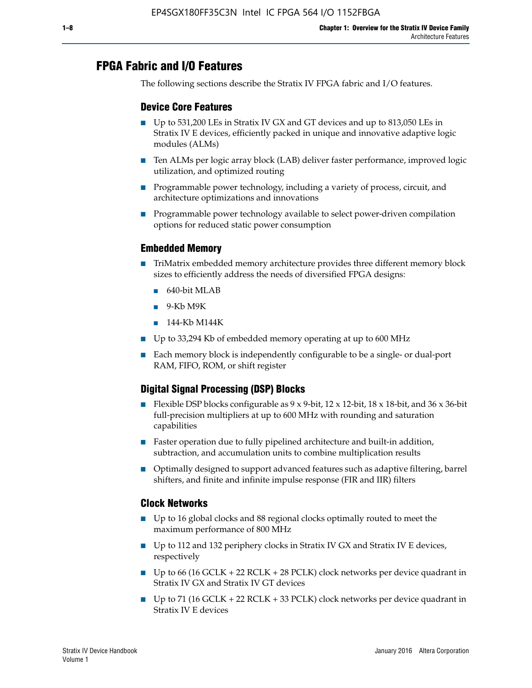# **FPGA Fabric and I/O Features**

The following sections describe the Stratix IV FPGA fabric and I/O features.

### **Device Core Features**

- Up to 531,200 LEs in Stratix IV GX and GT devices and up to 813,050 LEs in Stratix IV E devices, efficiently packed in unique and innovative adaptive logic modules (ALMs)
- Ten ALMs per logic array block (LAB) deliver faster performance, improved logic utilization, and optimized routing
- Programmable power technology, including a variety of process, circuit, and architecture optimizations and innovations
- Programmable power technology available to select power-driven compilation options for reduced static power consumption

### **Embedded Memory**

- TriMatrix embedded memory architecture provides three different memory block sizes to efficiently address the needs of diversified FPGA designs:
	- 640-bit MLAB
	- 9-Kb M9K
	- 144-Kb M144K
- Up to 33,294 Kb of embedded memory operating at up to 600 MHz
- Each memory block is independently configurable to be a single- or dual-port RAM, FIFO, ROM, or shift register

# **Digital Signal Processing (DSP) Blocks**

- Flexible DSP blocks configurable as  $9 \times 9$ -bit,  $12 \times 12$ -bit,  $18 \times 18$ -bit, and  $36 \times 36$ -bit full-precision multipliers at up to 600 MHz with rounding and saturation capabilities
- Faster operation due to fully pipelined architecture and built-in addition, subtraction, and accumulation units to combine multiplication results
- Optimally designed to support advanced features such as adaptive filtering, barrel shifters, and finite and infinite impulse response (FIR and IIR) filters

#### **Clock Networks**

- Up to 16 global clocks and 88 regional clocks optimally routed to meet the maximum performance of 800 MHz
- Up to 112 and 132 periphery clocks in Stratix IV GX and Stratix IV E devices, respectively
- Up to 66 (16 GCLK + 22 RCLK + 28 PCLK) clock networks per device quadrant in Stratix IV GX and Stratix IV GT devices
- Up to 71 (16 GCLK + 22 RCLK + 33 PCLK) clock networks per device quadrant in Stratix IV E devices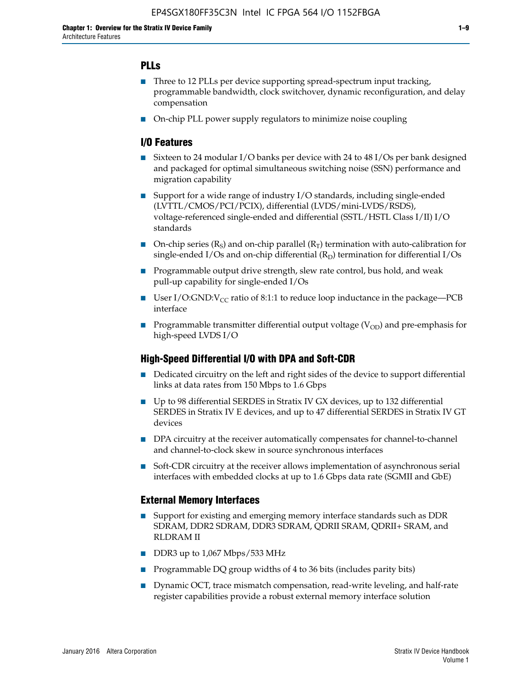# **PLLs**

- Three to 12 PLLs per device supporting spread-spectrum input tracking, programmable bandwidth, clock switchover, dynamic reconfiguration, and delay compensation
- On-chip PLL power supply regulators to minimize noise coupling

### **I/O Features**

- Sixteen to 24 modular I/O banks per device with 24 to 48 I/Os per bank designed and packaged for optimal simultaneous switching noise (SSN) performance and migration capability
- Support for a wide range of industry I/O standards, including single-ended (LVTTL/CMOS/PCI/PCIX), differential (LVDS/mini-LVDS/RSDS), voltage-referenced single-ended and differential (SSTL/HSTL Class I/II) I/O standards
- **O**n-chip series  $(R_S)$  and on-chip parallel  $(R_T)$  termination with auto-calibration for single-ended I/Os and on-chip differential  $(R_D)$  termination for differential I/Os
- Programmable output drive strength, slew rate control, bus hold, and weak pull-up capability for single-ended I/Os
- User I/O:GND: $V_{CC}$  ratio of 8:1:1 to reduce loop inductance in the package—PCB interface
- **■** Programmable transmitter differential output voltage ( $V_{OD}$ ) and pre-emphasis for high-speed LVDS I/O

#### **High-Speed Differential I/O with DPA and Soft-CDR**

- Dedicated circuitry on the left and right sides of the device to support differential links at data rates from 150 Mbps to 1.6 Gbps
- Up to 98 differential SERDES in Stratix IV GX devices, up to 132 differential SERDES in Stratix IV E devices, and up to 47 differential SERDES in Stratix IV GT devices
- DPA circuitry at the receiver automatically compensates for channel-to-channel and channel-to-clock skew in source synchronous interfaces
- Soft-CDR circuitry at the receiver allows implementation of asynchronous serial interfaces with embedded clocks at up to 1.6 Gbps data rate (SGMII and GbE)

#### **External Memory Interfaces**

- Support for existing and emerging memory interface standards such as DDR SDRAM, DDR2 SDRAM, DDR3 SDRAM, QDRII SRAM, QDRII+ SRAM, and RLDRAM II
- DDR3 up to 1,067 Mbps/533 MHz
- Programmable DQ group widths of 4 to 36 bits (includes parity bits)
- Dynamic OCT, trace mismatch compensation, read-write leveling, and half-rate register capabilities provide a robust external memory interface solution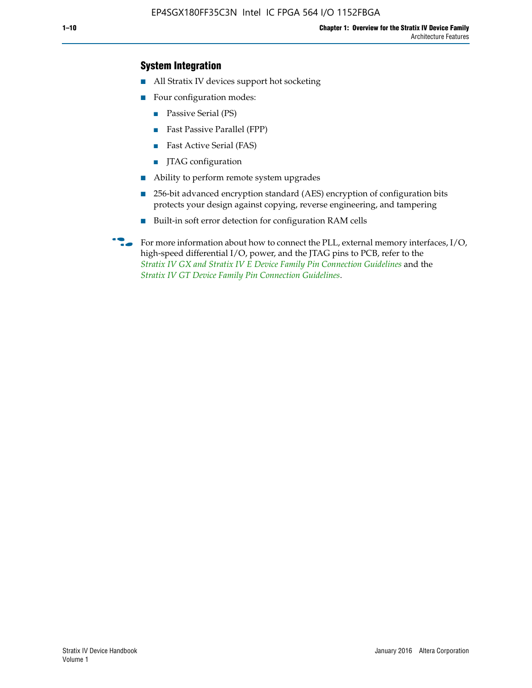### **System Integration**

- All Stratix IV devices support hot socketing
- Four configuration modes:
	- Passive Serial (PS)
	- Fast Passive Parallel (FPP)
	- Fast Active Serial (FAS)
	- JTAG configuration
- Ability to perform remote system upgrades
- 256-bit advanced encryption standard (AES) encryption of configuration bits protects your design against copying, reverse engineering, and tampering
- Built-in soft error detection for configuration RAM cells
- For more information about how to connect the PLL, external memory interfaces,  $I/O$ , high-speed differential I/O, power, and the JTAG pins to PCB, refer to the *[Stratix IV GX and Stratix IV E Device Family Pin Connection Guidelines](http://www.altera.com/literature/dp/stratix4/PCG-01005.pdf)* and the *[Stratix IV GT Device Family Pin Connection Guidelines](http://www.altera.com/literature/dp/stratix4/PCG-01006.pdf)*.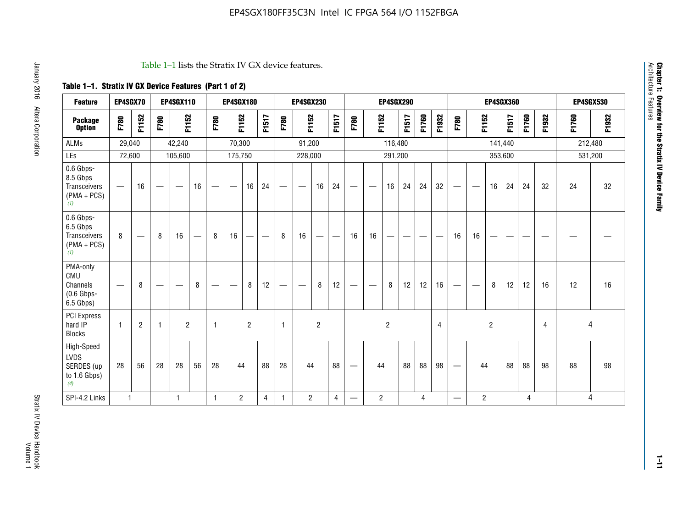#### Table 1–1 lists the Stratix IV GX device features.

# **Table 1–1. Stratix IV GX Device Features (Part 1 of 2)**

| <b>Feature</b>                                                 | EP4SGX70                 |                |                                  | <b>EP4SGX110</b>  |    |                                | <b>EP4SGX180</b>               |                |       |              | <b>EP4SGX230</b>         |                |       |                   |                | <b>EP4SGX290</b> |       |       |                |                                 |                   | <b>EP4SGX360</b> |         |       |       |         | <b>EP4SGX530</b> |
|----------------------------------------------------------------|--------------------------|----------------|----------------------------------|-------------------|----|--------------------------------|--------------------------------|----------------|-------|--------------|--------------------------|----------------|-------|-------------------|----------------|------------------|-------|-------|----------------|---------------------------------|-------------------|------------------|---------|-------|-------|---------|------------------|
| <b>Package</b><br><b>Option</b>                                | F780                     | F1152          | F780                             | F1152             |    | F780                           | F1152                          |                | F1517 | F780         | F1152                    |                | F1517 | F780              | F1152          |                  | F1517 | F1760 | F1932          | F780                            | F1152             |                  | F1517   | F1760 | F1932 | F1760   | F1932            |
| <b>ALMs</b>                                                    | 29,040                   |                |                                  | 42,240            |    |                                | 70,300                         |                |       |              | 91,200                   |                |       |                   |                | 116,480          |       |       |                |                                 |                   |                  | 141,440 |       |       | 212,480 |                  |
| LEs                                                            | 72,600                   |                |                                  | 105,600           |    |                                | 175,750                        |                |       |              | 228,000                  |                |       |                   |                | 291,200          |       |       |                |                                 |                   |                  | 353,600 |       |       |         | 531,200          |
| 0.6 Gbps-<br>8.5 Gbps<br>Transceivers<br>$(PMA + PCs)$<br>(1)  | $\overline{\phantom{0}}$ | 16             | $\hspace{0.05cm}$                | $\hspace{0.05cm}$ | 16 | $\qquad \qquad \longleftarrow$ | $\hspace{0.05cm}$              | 16             | 24    |              | $\overline{\phantom{a}}$ | 16             | 24    | —                 |                | 16               | 24    | 24    | 32             | $\overline{\phantom{0}}$        | $\hspace{0.05cm}$ | 16               | 24      | 24    | 32    | 24      | 32               |
| 0.6 Gbps-<br>6.5 Gbps<br>Transceivers<br>$(PMA + PCs)$<br>(1)  | 8                        |                | 8                                | 16                |    | 8                              | 16                             | -              |       | 8            | 16                       | —              |       | 16                | 16             |                  |       |       |                | 16                              | 16                |                  |         |       |       |         |                  |
| PMA-only<br>CMU<br>Channels<br>$(0.6$ Gbps-<br>6.5 Gbps)       | $\overline{\phantom{0}}$ | 8              | $\overbrace{\phantom{12322111}}$ |                   | 8  | $\qquad \qquad \longleftarrow$ | $\qquad \qquad \longleftarrow$ | 8              | 12    |              |                          | 8              | 12    | $\hspace{0.05cm}$ |                | 8                | 12    | 12    | 16             | $\overline{\phantom{0}}$        | $\hspace{0.05cm}$ | 8                | 12      | 12    | 16    | 12      | 16               |
| <b>PCI Express</b><br>hard IP<br><b>Blocks</b>                 | $\mathbf{1}$             | $\overline{2}$ | $\mathbf 1$                      | $\overline{2}$    |    | $\mathbf{1}$                   |                                | $\overline{2}$ |       | $\mathbf{1}$ |                          | $\overline{c}$ |       |                   |                | $\overline{c}$   |       |       | $\overline{4}$ |                                 |                   | $\overline{2}$   |         |       | 4     |         | 4                |
| High-Speed<br><b>LVDS</b><br>SERDES (up<br>to 1.6 Gbps)<br>(4) | 28                       | 56             | 28                               | 28                | 56 | 28                             | 44                             |                | 88    | 28           | 44                       |                | 88    | —                 | 44             |                  | 88    | 88    | 98             | $\hspace{0.1mm}-\hspace{0.1mm}$ | 44                |                  | 88      | 88    | 98    | 88      | 98               |
| SPI-4.2 Links                                                  | $\mathbf{1}$             |                |                                  | 1                 |    | $\mathbf{1}$                   | $\overline{c}$                 |                | 4     | 1            | $\overline{c}$           |                | 4     | —                 | $\overline{2}$ |                  |       | 4     |                | $\overline{\phantom{0}}$        | $\overline{2}$    |                  |         | 4     |       |         | 4                |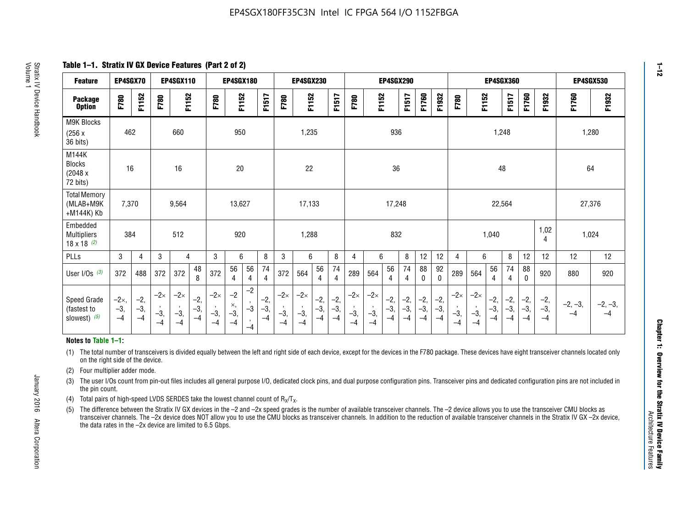**Table 1–1. Stratix IV GX Device Features (Part 2 of 2)**

| <b>Feature</b>                                       | EP4SGX70                |                        |                             | <b>EP4SGX110</b>            |                      |                             | <b>EP4SGX180</b>          |                      |                        |                             | <b>EP4SGX230</b>            |                      |                      |                            |                             | EP4SGX290              |                      |                      |                        |                             |                             |                        | <b>EP4SGX360</b>      |                      |                        | <b>EP4SGX530</b>  |                 |
|------------------------------------------------------|-------------------------|------------------------|-----------------------------|-----------------------------|----------------------|-----------------------------|---------------------------|----------------------|------------------------|-----------------------------|-----------------------------|----------------------|----------------------|----------------------------|-----------------------------|------------------------|----------------------|----------------------|------------------------|-----------------------------|-----------------------------|------------------------|-----------------------|----------------------|------------------------|-------------------|-----------------|
| <b>Package</b><br><b>Option</b>                      | F780                    | F1152                  | F780                        | F1152                       |                      | F780                        | F1152                     |                      | F1517                  | F780                        | F1152                       |                      | F1517                | F780                       | F1152                       |                        | F1517                | F1760                | F1932                  | F780                        | F1152                       |                        | F1517                 | F1760                | F1932                  | F1760             | F1932           |
| M9K Blocks<br>(256x)<br>36 bits)                     | 462                     |                        |                             | 660                         |                      |                             | 950                       |                      |                        |                             | 1,235                       |                      |                      |                            |                             | 936                    |                      |                      |                        |                             |                             | 1,248                  |                       |                      |                        |                   | 1,280           |
| M144K<br><b>Blocks</b><br>(2048 x<br>72 bits)        | 16                      |                        |                             | 16                          |                      |                             | 20                        |                      |                        |                             | 22                          |                      |                      |                            |                             | 36                     |                      |                      |                        |                             |                             | 48                     |                       |                      |                        | 64                |                 |
| <b>Total Memory</b><br>(MLAB+M9K<br>+M144K) Kb       | 7,370                   |                        |                             | 9,564                       |                      |                             | 13,627                    |                      |                        |                             | 17,133                      |                      |                      |                            |                             | 17,248                 |                      |                      |                        |                             |                             | 22,564                 |                       |                      |                        | 27,376            |                 |
| Embedded<br><b>Multipliers</b><br>$18 \times 18$ (2) | 384                     |                        |                             | 512                         |                      |                             | 920                       |                      |                        |                             | 1,288                       |                      |                      |                            |                             | 832                    |                      |                      |                        |                             |                             | 1,040                  |                       |                      | 1,02<br>4              | 1,024             |                 |
| PLLs                                                 | 3                       | $\overline{4}$         | 3                           | 4                           |                      | 3                           | 6                         |                      | 8                      | 3                           | 6                           |                      | 8                    | 4                          | 6                           |                        | 8                    | 12                   | 12                     | 4                           | 6                           |                        | 8                     | 12                   | 12                     | 12                | 12              |
| User $I/Os$ (3)                                      | 372                     | 488                    | 372                         | 372                         | 48<br>8              | 372                         | 56<br>4                   | 56<br>4              | 74<br>4                | 372                         | 564                         | 56<br>$\overline{4}$ | 74<br>$\overline{4}$ | 289                        | 564                         | 56<br>4                | 74<br>4              | 88<br>0              | 92<br>$\mathbf 0$      | 289                         | 564                         | 56<br>4                | 74<br>4               | 88<br>$\mathbf{0}$   | 920                    | 880               | 920             |
| Speed Grade<br>(fastest to<br>slowest) (5)           | $-2x,$<br>$-3,$<br>$-4$ | $-2,$<br>$-3,$<br>$-4$ | $-2\times$<br>$-3,$<br>$-4$ | $-2\times$<br>$-3,$<br>$-4$ | $-2,$<br>-3,<br>$-4$ | $-2\times$<br>$-3,$<br>$-4$ | $-2$<br>×,<br>$-3,$<br>-4 | $-2$<br>$-3$<br>$-4$ | $-2,$<br>$-3,$<br>$-4$ | $-2\times$<br>$-3,$<br>$-4$ | $-2\times$<br>$-3,$<br>$-4$ | $-2,$<br>-3,<br>$-4$ | $-2,$<br>-3,<br>$-4$ | $-2\times$<br>$-3$<br>$-4$ | $-2\times$<br>$-3,$<br>$-4$ | $-2,$<br>$-3,$<br>$-4$ | $-2,$<br>-3,<br>$-4$ | $-2,$<br>-3,<br>$-4$ | $-2,$<br>$-3,$<br>$-4$ | $-2\times$<br>$-3,$<br>$-4$ | $-2\times$<br>$-3,$<br>$-4$ | $-2,$<br>$-3,$<br>$-4$ | $-2,$<br>$-3$<br>$-4$ | $-2,$<br>-3,<br>$-4$ | $-2,$<br>$-3,$<br>$-4$ | $-2, -3,$<br>$-4$ | $-2, -3,$<br>-4 |

#### **Notes to Table 1–1:**

(1) The total number of transceivers is divided equally between the left and right side of each device, except for the devices in the F780 package. These devices have eight transceiver channels located only on the right side of the device.

- (2) Four multiplier adder mode.
- (3) The user I/Os count from pin-out files includes all general purpose I/O, dedicated clock pins, and dual purpose configuration pins. Transceiver pins and dedicated configuration pins are not included in the pin count.
- (4) Total pairs of high-speed LVDS SERDES take the lowest channel count of  $R_X/T_X$ .
- (5) The difference between the Stratix IV GX devices in the –2 and –2x speed grades is the number of available transceiver channels. The –2 device allows you to use the transceiver CMU blocks as transceiver channels. The –2x device does NOT allow you to use the CMU blocks as transceiver channels. In addition to the reduction of available transceiver channels in the Stratix IV GX –2x device, the data rates in the –2x device are limited to 6.5 Gbps.

**1–12**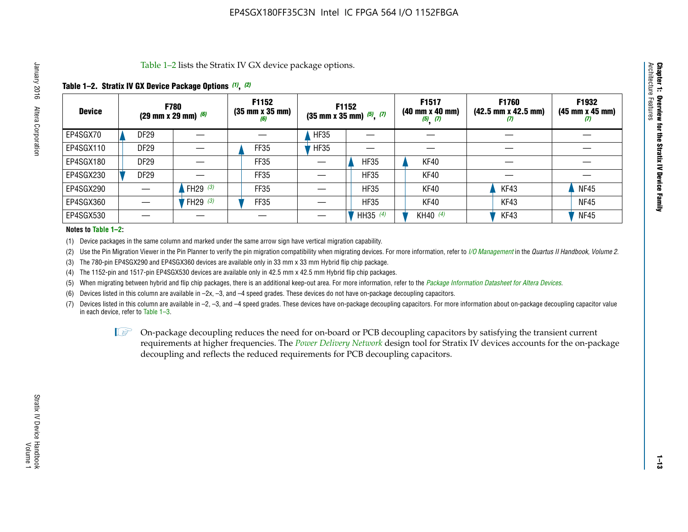Table 1–2 lists the Stratix IV GX device package options.

### **Table 1–2. Stratix IV GX Device Package Options** *(1)***,** *(2)*

| <b>Device</b> |                  | <b>F780</b><br>(29 mm x 29 mm) $(6)$ | F1152<br>$(35 \, \text{mm} \times 35 \, \text{mm})$<br>(6) |             | F1152<br>$(35$ mm x 35 mm) $(5)$ , $(7)$ | F1517<br><b>F1760</b><br>$(42.5 \text{ mm} \times 42.5 \text{ mm})$<br>$(40 \, \text{mm} \times 40 \, \text{mm})$<br>$(5)$ $(7)$<br>$\boldsymbol{U}$ |      | F1932<br>$(45 \, \text{mm} \times 45 \, \text{mm})$<br>(7) |
|---------------|------------------|--------------------------------------|------------------------------------------------------------|-------------|------------------------------------------|------------------------------------------------------------------------------------------------------------------------------------------------------|------|------------------------------------------------------------|
| EP4SGX70      | DF <sub>29</sub> |                                      |                                                            | <b>HF35</b> |                                          |                                                                                                                                                      |      |                                                            |
| EP4SGX110     | DF <sub>29</sub> |                                      | FF35                                                       | <b>HF35</b> |                                          |                                                                                                                                                      |      |                                                            |
| EP4SGX180     | DF <sub>29</sub> |                                      | FF35                                                       |             | <b>HF35</b>                              | KF40                                                                                                                                                 |      |                                                            |
| EP4SGX230     | <b>DF29</b>      |                                      | FF35                                                       |             | <b>HF35</b>                              | KF40                                                                                                                                                 |      |                                                            |
| EP4SGX290     |                  | FH29 $(3)$                           | FF35                                                       |             | <b>HF35</b>                              | KF40                                                                                                                                                 | KF43 | <b>NF45</b>                                                |
| EP4SGX360     |                  | FH29 (3)                             | FF35                                                       |             | <b>HF35</b>                              | KF40                                                                                                                                                 | KF43 | <b>NF45</b>                                                |
| EP4SGX530     |                  |                                      |                                                            |             | HH35 $(4)$                               | KH40 $(4)$                                                                                                                                           | KF43 | <b>NF45</b>                                                |

#### **Notes to Table 1–2:**

(1) Device packages in the same column and marked under the same arrow sign have vertical migration capability.

(2) Use the Pin Migration Viewer in the Pin Planner to verify the pin migration compatibility when migrating devices. For more information, refer to *[I/O Management](http://www.altera.com/literature/hb/qts/qts_qii52013.pdf)* in the *Quartus II Handbook, Volume 2*.

(3) The 780-pin EP4SGX290 and EP4SGX360 devices are available only in 33 mm x 33 mm Hybrid flip chip package.

(4) The 1152-pin and 1517-pin EP4SGX530 devices are available only in 42.5 mm x 42.5 mm Hybrid flip chip packages.

(5) When migrating between hybrid and flip chip packages, there is an additional keep-out area. For more information, refer to the *[Package Information Datasheet for Altera Devices](http://www.altera.com/literature/ds/dspkg.pdf)*.

(6) Devices listed in this column are available in –2x, –3, and –4 speed grades. These devices do not have on-package decoupling capacitors.

(7) Devices listed in this column are available in –2, –3, and –4 speed grades. These devices have on-package decoupling capacitors. For more information about on-package decoupling capacitor value in each device, refer to Table 1–3.

 $\mathbb{L}$ s On-package decoupling reduces the need for on-board or PCB decoupling capacitors by satisfying the transient current requirements at higher frequencies. The *[Power Delivery Network](http://www.altera.com/literature/ug/pdn_tool_stxiv.zip)* design tool for Stratix IV devices accounts for the on-package decoupling and reflects the reduced requirements for PCB decoupling capacitors.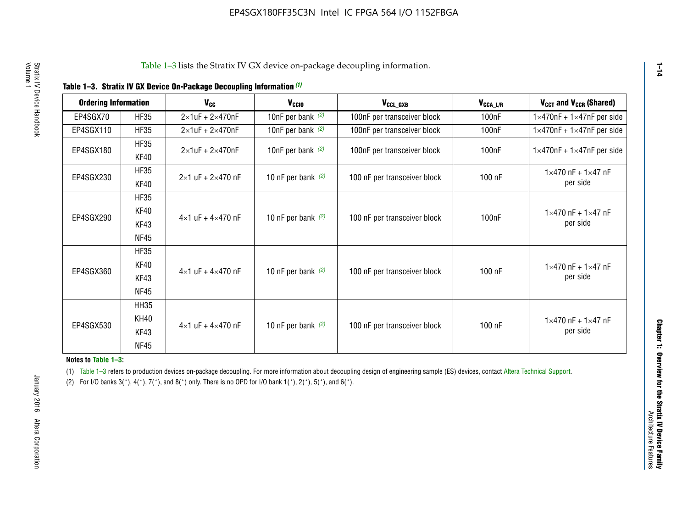|  |  | Table 1-3. Stratix IV GX Device On-Package Decoupling Information (1) |  |  |
|--|--|-----------------------------------------------------------------------|--|--|
|--|--|-----------------------------------------------------------------------|--|--|

| <b>Ordering Information</b> |             | <b>V<sub>cc</sub></b>               | V <sub>ccio</sub>    | V <sub>CCL_GXB</sub>         | $V_{\texttt{CCA}\_\textsf{L/R}}$ | $V_{CCT}$ and $V_{CCR}$ (Shared)              |
|-----------------------------|-------------|-------------------------------------|----------------------|------------------------------|----------------------------------|-----------------------------------------------|
|                             |             |                                     |                      |                              |                                  |                                               |
| EP4SGX70                    | <b>HF35</b> | $2\times1$ uF + $2\times470$ nF     | 10nF per bank $(2)$  | 100nF per transceiver block  | 100nF                            | $1 \times 470$ nF + $1 \times 47$ nF per side |
| EP4SGX110                   | <b>HF35</b> | $2\times1$ uF + 2 $\times$ 470nF    | 10nF per bank $(2)$  | 100nF per transceiver block  | 100 <sub>nF</sub>                | $1\times470$ nF + $1\times47$ nF per side     |
| EP4SGX180                   | <b>HF35</b> | $2\times1$ uF + $2\times470$ nF     | 10nF per bank $(2)$  | 100nF per transceiver block  | 100 <sub>n</sub> F               | $1 \times 470$ nF + $1 \times 47$ nF per side |
|                             | KF40        |                                     |                      |                              |                                  |                                               |
|                             | <b>HF35</b> |                                     |                      |                              |                                  | $1 \times 470$ nF + $1 \times 47$ nF          |
| EP4SGX230                   | KF40        | $2\times1$ uF + $2\times470$ nF     | 10 nF per bank $(2)$ | 100 nF per transceiver block | 100 nF                           | per side                                      |
|                             | <b>HF35</b> |                                     |                      |                              |                                  |                                               |
|                             | KF40        |                                     |                      |                              |                                  | $1 \times 470$ nF + $1 \times 47$ nF          |
| EP4SGX290                   | KF43        | $4 \times 1$ uF + $4 \times 470$ nF | 10 nF per bank $(2)$ | 100 nF per transceiver block | 100nF                            | per side                                      |
|                             | <b>NF45</b> |                                     |                      |                              |                                  |                                               |
|                             | <b>HF35</b> |                                     |                      |                              |                                  |                                               |
|                             | KF40        |                                     |                      |                              |                                  | $1 \times 470$ nF + $1 \times 47$ nF          |
| EP4SGX360                   | KF43        | $4 \times 1$ uF + $4 \times 470$ nF | 10 nF per bank $(2)$ | 100 nF per transceiver block | 100 nF                           | per side                                      |
|                             | <b>NF45</b> |                                     |                      |                              |                                  |                                               |
|                             | <b>HH35</b> |                                     |                      |                              |                                  |                                               |
|                             | <b>KH40</b> |                                     |                      |                              |                                  | $1 \times 470$ nF + $1 \times 47$ nF          |
| EP4SGX530                   | KF43        | $4 \times 1$ uF + $4 \times 470$ nF | 10 nF per bank $(2)$ | 100 nF per transceiver block | 100 nF                           | per side                                      |
|                             | <b>NF45</b> |                                     |                      |                              |                                  |                                               |

**Notes to Table 1–3:**

(1) Table 1-3 refers to production devices on-package decoupling. For more information about decoupling design of engineering sample (ES) devices, contact [Altera Technical Support](http://mysupport.altera.com/eservice/login.asp).

(2) For I/O banks  $3(*)$ ,  $4(*)$ ,  $7(*)$ , and  $8(*)$  only. There is no OPD for I/O bank  $1(*)$ ,  $2(*)$ ,  $5(*)$ , and  $6(*)$ .

**1–14**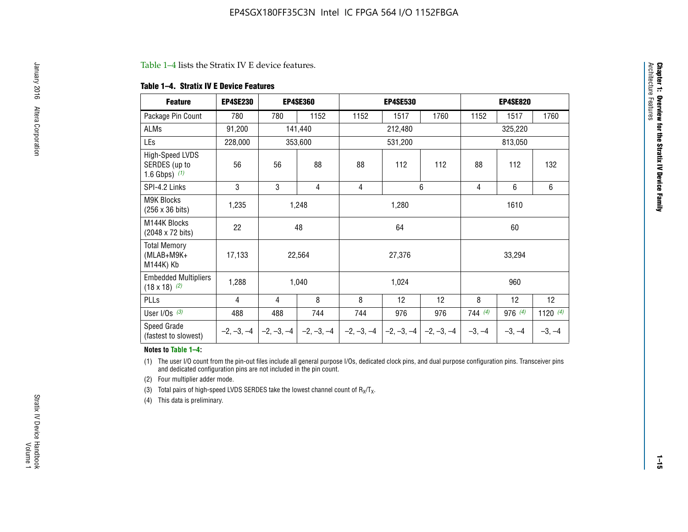#### Table 1–4 lists the Stratix IV E device features.

#### **Table 1–4. Stratix IV E Device Features**

| <b>Feature</b>                                      | <b>EP4SE230</b> |     | <b>EP4SE360</b>           |              | <b>EP4SE530</b> |              |          | <b>EP4SE820</b> |            |
|-----------------------------------------------------|-----------------|-----|---------------------------|--------------|-----------------|--------------|----------|-----------------|------------|
| Package Pin Count                                   | 780             | 780 | 1152                      | 1152         | 1517            | 1760         | 1152     | 1517            | 1760       |
| ALMs                                                | 91,200          |     | 141,440                   |              | 212,480         |              |          | 325,220         |            |
| LEs                                                 | 228,000         |     | 353,600                   |              | 531,200         |              |          | 813,050         |            |
| High-Speed LVDS<br>SERDES (up to<br>1.6 Gbps) $(1)$ | 56              | 56  | 88                        | 88           | 112             | 112          | 88       | 112             | 132        |
| SPI-4.2 Links                                       | 3               | 3   | 4                         | 4            |                 | 6            | 4        | 6               | 6          |
| <b>M9K Blocks</b><br>(256 x 36 bits)                | 1,235           |     | 1,248                     |              | 1,280           |              |          | 1610            |            |
| M144K Blocks<br>(2048 x 72 bits)                    | 22              |     | 48                        |              | 64              |              |          | 60              |            |
| <b>Total Memory</b><br>$(MLAB+M9K+$<br>M144K) Kb    | 17,133          |     | 22,564                    |              | 27,376          |              |          | 33,294          |            |
| <b>Embedded Multipliers</b><br>$(18 \times 18)$ (2) | 1,288           |     | 1,040                     |              | 1,024           |              |          | 960             |            |
| PLLs                                                | 4               | 4   | 8                         | 8            | 12              | 12           | 8        | 12              | 12         |
| User I/Os $(3)$                                     | 488             | 488 | 744                       | 744          | 976             | 976          | 744 (4)  | 976(4)          | 1120 $(4)$ |
| Speed Grade<br>(fastest to slowest)                 | $-2, -3, -4$    |     | $-2, -3, -4$ $-2, -3, -4$ | $-2, -3, -4$ | $-2, -3, -4$    | $-2, -3, -4$ | $-3, -4$ | $-3, -4$        | $-3, -4$   |

#### **Notes to Table 1–4:**

(1) The user I/O count from the pin-out files include all general purpose I/Os, dedicated clock pins, and dual purpose configuration pins. Transceiver pins and dedicated configuration pins are not included in the pin count.

(2) Four multiplier adder mode.

(3) Total pairs of high-speed LVDS SERDES take the lowest channel count of  $R_X/T_X$ .

(4) This data is preliminary.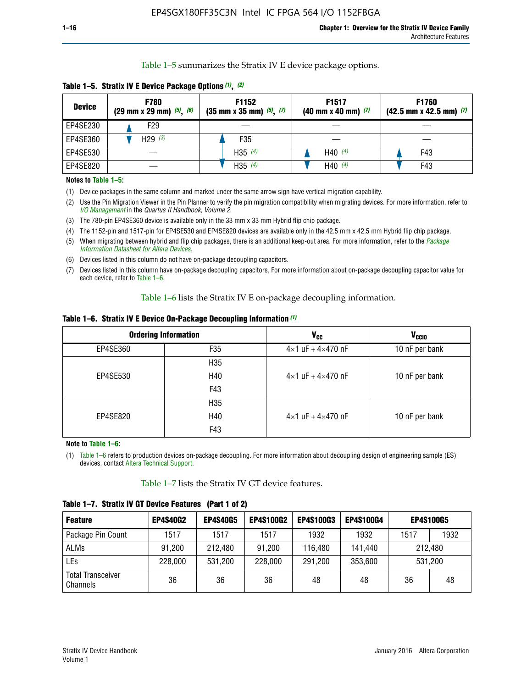Table 1–5 summarizes the Stratix IV E device package options.

| <b>Device</b> | <b>F780</b><br>$(29 \text{ mm} \times 29 \text{ mm})$ $(5)$ , $(6)$ | F1152<br>$(35 \text{ mm} \times 35 \text{ mm})$ $(5)$ $(7)$ | F <sub>1517</sub><br>$(40 \text{ mm} \times 40 \text{ mm})$ (7) | <b>F1760</b><br>$(42.5$ mm x 42.5 mm) $(7)$ |
|---------------|---------------------------------------------------------------------|-------------------------------------------------------------|-----------------------------------------------------------------|---------------------------------------------|
| EP4SE230      | F <sub>29</sub>                                                     |                                                             |                                                                 |                                             |
| EP4SE360      | H29 $(3)$                                                           | F35                                                         |                                                                 |                                             |
| EP4SE530      |                                                                     | H35 $(4)$                                                   | H40 $(4)$                                                       | F43                                         |
| EP4SE820      |                                                                     | H35 $(4)$                                                   | H40 $(4)$                                                       | F43                                         |

**Table 1–5. Stratix IV E Device Package Options** *(1)***,** *(2)*

#### **Notes to Table 1–5:**

(1) Device packages in the same column and marked under the same arrow sign have vertical migration capability.

(2) Use the Pin Migration Viewer in the Pin Planner to verify the pin migration compatibility when migrating devices. For more information, refer to *[I/O Management](http://www.altera.com/literature/hb/qts/qts_qii52013.pdf)* in the *Quartus II Handbook, Volume 2*.

(3) The 780-pin EP4SE360 device is available only in the 33 mm x 33 mm Hybrid flip chip package.

(4) The 1152-pin and 1517-pin for EP4SE530 and EP4SE820 devices are available only in the 42.5 mm x 42.5 mm Hybrid flip chip package.

(5) When migrating between hybrid and flip chip packages, there is an additional keep-out area. For more information, refer to the *[Package](http://www.altera.com/literature/ds/dspkg.pdf)  [Information Datasheet for Altera Devices](http://www.altera.com/literature/ds/dspkg.pdf)*.

(6) Devices listed in this column do not have on-package decoupling capacitors.

(7) Devices listed in this column have on-package decoupling capacitors. For more information about on-package decoupling capacitor value for each device, refer to Table 1–6.

Table 1–6 lists the Stratix IV E on-package decoupling information.

| Table 1–6. Stratix IV E Device On-Package Decoupling Information (1) |  |  |  |  |  |
|----------------------------------------------------------------------|--|--|--|--|--|
|----------------------------------------------------------------------|--|--|--|--|--|

|          | <b>Ordering Information</b> | <b>V<sub>cc</sub></b>               | <b>V<sub>CCIO</sub></b> |
|----------|-----------------------------|-------------------------------------|-------------------------|
| EP4SE360 | F35                         | $4 \times 1$ uF + $4 \times 470$ nF | 10 nF per bank          |
|          | H <sub>35</sub>             |                                     |                         |
| EP4SE530 | H40                         | $4 \times 1$ uF + $4 \times 470$ nF | 10 nF per bank          |
|          | F43                         |                                     |                         |
|          | H <sub>35</sub>             |                                     |                         |
| EP4SE820 | H40                         | $4 \times 1$ uF + $4 \times 470$ nF | 10 nF per bank          |
|          | F43                         |                                     |                         |

**Note to Table 1–6:**

(1) Table 1–6 refers to production devices on-package decoupling. For more information about decoupling design of engineering sample (ES) devices, contact [Altera Technical Support](http://mysupport.altera.com/eservice/login.asp).

Table 1–7 lists the Stratix IV GT device features.

| <b>Feature</b>                       | <b>EP4S40G2</b> | <b>EP4S40G5</b> | <b>EP4S100G2</b> | <b>EP4S100G3</b> | <b>EP4S100G4</b> |         | <b>EP4S100G5</b> |
|--------------------------------------|-----------------|-----------------|------------------|------------------|------------------|---------|------------------|
| Package Pin Count                    | 1517            | 1517            | 1517             | 1932             | 1932             | 1517    | 1932             |
| <b>ALMs</b>                          | 91,200          | 212,480         | 91,200           | 116,480          | 141,440          |         | 212.480          |
| LEs                                  | 228,000         | 531,200         | 228,000          | 291,200          | 353,600          | 531,200 |                  |
| <b>Total Transceiver</b><br>Channels | 36              | 36              | 36               | 48               | 48               | 36      | 48               |

**Table 1–7. Stratix IV GT Device Features (Part 1 of 2)**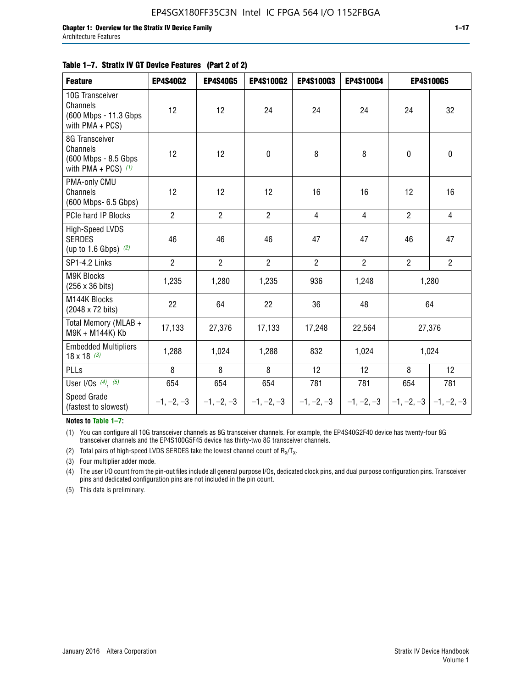#### **Table 1–7. Stratix IV GT Device Features (Part 2 of 2)**

| <b>Feature</b>                                                              | <b>EP4S40G2</b> | <b>EP4S40G5</b> | <b>EP4S100G2</b> | <b>EP4S100G3</b> | EP4S100G4      |                           | <b>EP4S100G5</b> |
|-----------------------------------------------------------------------------|-----------------|-----------------|------------------|------------------|----------------|---------------------------|------------------|
| 10G Transceiver<br>Channels<br>(600 Mbps - 11.3 Gbps<br>with PMA + PCS)     | 12              | 12              | 24               | 24               | 24             | 24                        | 32               |
| 8G Transceiver<br>Channels<br>(600 Mbps - 8.5 Gbps<br>with PMA + PCS) $(1)$ | 12              | 12              | $\pmb{0}$        | 8                | 8              | $\mathbf 0$               | $\pmb{0}$        |
| PMA-only CMU<br>Channels<br>(600 Mbps- 6.5 Gbps)                            | 12              | 12              | 12               | 16               | 16             | 12                        | 16               |
| PCIe hard IP Blocks                                                         | $\overline{2}$  | $\overline{2}$  | $\overline{2}$   | 4                | $\overline{4}$ | $\overline{2}$            | $\overline{4}$   |
| High-Speed LVDS<br><b>SERDES</b><br>(up to 1.6 Gbps) $(2)$                  | 46              | 46              | 46               | 47               | 47             | 46                        | 47               |
| SP1-4.2 Links                                                               | $\overline{2}$  | $\overline{2}$  | $\overline{2}$   | $\overline{2}$   | $\overline{2}$ | $\overline{2}$            | $2^{\circ}$      |
| <b>M9K Blocks</b><br>(256 x 36 bits)                                        | 1,235           | 1,280           | 1,235            | 936              | 1,248          |                           | 1,280            |
| M144K Blocks<br>(2048 x 72 bits)                                            | 22              | 64              | 22               | 36               | 48             |                           | 64               |
| Total Memory (MLAB +<br>M9K + M144K) Kb                                     | 17,133          | 27,376          | 17,133           | 17,248           | 22,564         |                           | 27,376           |
| <b>Embedded Multipliers</b><br>$18 \times 18^{(3)}$                         | 1,288           | 1,024           | 1,288            | 832              | 1,024          |                           | 1,024            |
| PLLs                                                                        | 8               | 8               | 8                | 12               | 12             | 8                         | 12               |
| User I/Os $(4)$ , $(5)$                                                     | 654             | 654             | 654              | 781              | 781            | 654                       | 781              |
| Speed Grade<br>(fastest to slowest)                                         | $-1, -2, -3$    | $-1, -2, -3$    | $-1, -2, -3$     | $-1, -2, -3$     | $-1, -2, -3$   | $-1, -2, -3$ $-1, -2, -3$ |                  |

**Notes to Table 1–7:**

(1) You can configure all 10G transceiver channels as 8G transceiver channels. For example, the EP4S40G2F40 device has twenty-four 8G transceiver channels and the EP4S100G5F45 device has thirty-two 8G transceiver channels.

(2) Total pairs of high-speed LVDS SERDES take the lowest channel count of  $R_X/T_X$ .

(3) Four multiplier adder mode.

(4) The user I/O count from the pin-out files include all general purpose I/Os, dedicated clock pins, and dual purpose configuration pins. Transceiver pins and dedicated configuration pins are not included in the pin count.

(5) This data is preliminary.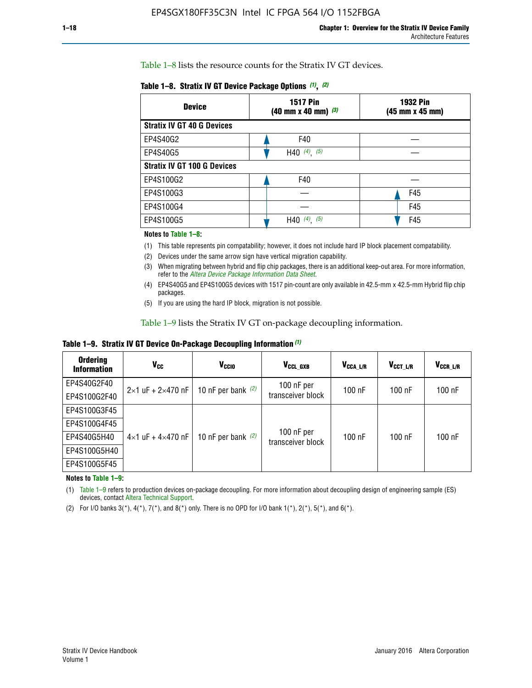Table 1–8 lists the resource counts for the Stratix IV GT devices.

|  | Table 1-8. Stratix IV GT Device Package Options (1), (2) |  |  |  |  |  |
|--|----------------------------------------------------------|--|--|--|--|--|
|--|----------------------------------------------------------|--|--|--|--|--|

| <b>Device</b>                      | <b>1932 Pin</b><br><b>1517 Pin</b><br>$(40 \text{ mm} \times 40 \text{ mm})$ (3)<br>(45 mm x 45 mm) |     |  |
|------------------------------------|-----------------------------------------------------------------------------------------------------|-----|--|
| <b>Stratix IV GT 40 G Devices</b>  |                                                                                                     |     |  |
| EP4S40G2                           | F40                                                                                                 |     |  |
| EP4S40G5                           | H40 $(4)$ , $(5)$                                                                                   |     |  |
| <b>Stratix IV GT 100 G Devices</b> |                                                                                                     |     |  |
| EP4S100G2                          | F40                                                                                                 |     |  |
| EP4S100G3                          |                                                                                                     | F45 |  |
| EP4S100G4                          |                                                                                                     | F45 |  |
| EP4S100G5                          | $(4)$ $(5)$<br>H40                                                                                  | F45 |  |

#### **Notes to Table 1–8:**

(1) This table represents pin compatability; however, it does not include hard IP block placement compatability.

- (2) Devices under the same arrow sign have vertical migration capability.
- (3) When migrating between hybrid and flip chip packages, there is an additional keep-out area. For more information, refer to the *[Altera Device Package Information Data Sheet](http://www.altera.com/literature/ds/dspkg.pdf)*.
- (4) EP4S40G5 and EP4S100G5 devices with 1517 pin-count are only available in 42.5-mm x 42.5-mm Hybrid flip chip packages.
- (5) If you are using the hard IP block, migration is not possible.

Table 1–9 lists the Stratix IV GT on-package decoupling information.

**Table 1–9. Stratix IV GT Device On-Package Decoupling Information** *(1)*

| <b>Ordering</b><br><b>Information</b> | Vcc                                 | <b>V<sub>CCIO</sub></b> | V <sub>CCL GXB</sub>            | V <sub>CCA_L/R</sub> | V <sub>CCT L/R</sub> | V <sub>CCR_L/R</sub> |
|---------------------------------------|-------------------------------------|-------------------------|---------------------------------|----------------------|----------------------|----------------------|
| EP4S40G2F40                           | $2 \times 1$ uF + $2 \times 470$ nF | 10 nF per bank $(2)$    | 100 nF per<br>transceiver block | $100$ nF             | 100 nF               | 100 nF               |
| EP4S100G2F40                          |                                     |                         |                                 |                      |                      |                      |
| EP4S100G3F45                          |                                     | 10 nF per bank $(2)$    | 100 nF per<br>transceiver block | $100$ nF             | $100$ nF             | $100$ nF             |
| EP4S100G4F45                          | $4 \times 1$ uF + $4 \times 470$ nF |                         |                                 |                      |                      |                      |
| EP4S40G5H40                           |                                     |                         |                                 |                      |                      |                      |
| EP4S100G5H40                          |                                     |                         |                                 |                      |                      |                      |
| EP4S100G5F45                          |                                     |                         |                                 |                      |                      |                      |

**Notes to Table 1–9:**

(1) Table 1–9 refers to production devices on-package decoupling. For more information about decoupling design of engineering sample (ES) devices, contact [Altera Technical Support](http://mysupport.altera.com/eservice/login.asp).

(2) For I/O banks  $3(*)$ ,  $4(*)$ ,  $7(*)$ , and  $8(*)$  only. There is no OPD for I/O bank  $1(*)$ ,  $2(*)$ ,  $5(*)$ , and  $6(*)$ .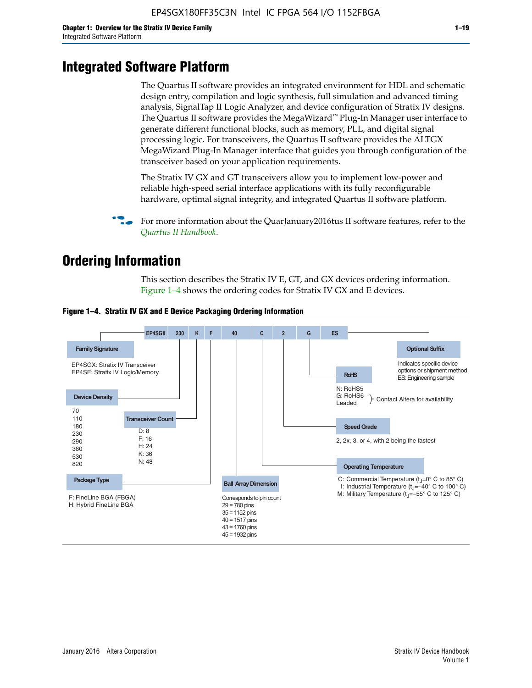# **Integrated Software Platform**

The Quartus II software provides an integrated environment for HDL and schematic design entry, compilation and logic synthesis, full simulation and advanced timing analysis, SignalTap II Logic Analyzer, and device configuration of Stratix IV designs. The Quartus II software provides the MegaWizard<sup> $M$ </sup> Plug-In Manager user interface to generate different functional blocks, such as memory, PLL, and digital signal processing logic. For transceivers, the Quartus II software provides the ALTGX MegaWizard Plug-In Manager interface that guides you through configuration of the transceiver based on your application requirements.

The Stratix IV GX and GT transceivers allow you to implement low-power and reliable high-speed serial interface applications with its fully reconfigurable hardware, optimal signal integrity, and integrated Quartus II software platform.

For more information about the QuarJanuary2016tus II software features, refer to the *[Quartus II Handbook](http://www.altera.com/literature/lit-qts.jsp)*.

# **Ordering Information**

This section describes the Stratix IV E, GT, and GX devices ordering information. Figure 1–4 shows the ordering codes for Stratix IV GX and E devices.



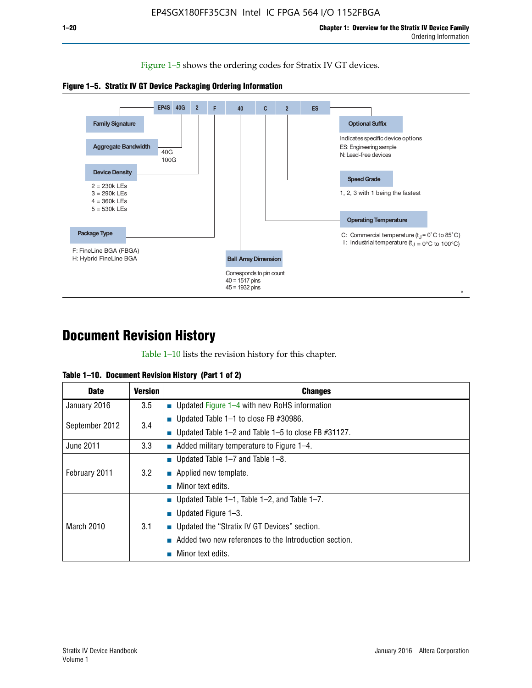Figure 1–5 shows the ordering codes for Stratix IV GT devices.





# **Document Revision History**

Table 1–10 lists the revision history for this chapter.

| <b>Date</b>       | <b>Version</b> | <b>Changes</b>                                         |
|-------------------|----------------|--------------------------------------------------------|
| January 2016      | 3.5            | <b>Updated Figure 1–4 with new RoHS information</b>    |
| September 2012    | 3.4            | ■ Updated Table $1-1$ to close FB #30986.              |
|                   |                | Updated Table 1–2 and Table 1–5 to close FB $#31127$ . |
| June 2011         | 3.3            | Added military temperature to Figure 1–4.              |
| February 2011     | 3.2            | ■ Updated Table $1-7$ and Table $1-8$ .                |
|                   |                | $\blacksquare$ Applied new template.                   |
|                   |                | Minor text edits.                                      |
| <b>March 2010</b> | 3.1            | ■ Updated Table 1–1, Table 1–2, and Table 1–7.         |
|                   |                | ■ Updated Figure $1-3$ .                               |
|                   |                | ■ Updated the "Stratix IV GT Devices" section.         |
|                   |                | Added two new references to the Introduction section.  |
|                   |                | Minor text edits.                                      |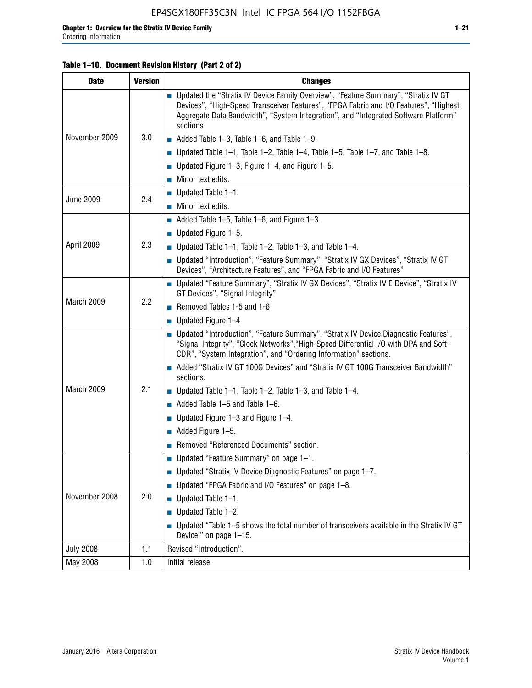#### **Table 1–10. Document Revision History (Part 2 of 2)**

| <b>Date</b>      | <b>Version</b> | <b>Changes</b>                                                                                                                                                                                                                                                                    |  |
|------------------|----------------|-----------------------------------------------------------------------------------------------------------------------------------------------------------------------------------------------------------------------------------------------------------------------------------|--|
|                  | 3.0            | ■ Updated the "Stratix IV Device Family Overview", "Feature Summary", "Stratix IV GT<br>Devices", "High-Speed Transceiver Features", "FPGA Fabric and I/O Features", "Highest<br>Aggregate Data Bandwidth", "System Integration", and "Integrated Software Platform"<br>sections. |  |
| November 2009    |                | $\blacksquare$ Added Table 1-3, Table 1-6, and Table 1-9.                                                                                                                                                                                                                         |  |
|                  |                | $\blacksquare$ Updated Table 1-1, Table 1-2, Table 1-4, Table 1-5, Table 1-7, and Table 1-8.                                                                                                                                                                                      |  |
|                  |                | ■ Updated Figure 1–3, Figure 1–4, and Figure 1–5.                                                                                                                                                                                                                                 |  |
|                  |                | $\blacksquare$ Minor text edits.                                                                                                                                                                                                                                                  |  |
|                  | 2.4            | $\blacksquare$ Updated Table 1-1.                                                                                                                                                                                                                                                 |  |
| <b>June 2009</b> |                | Minor text edits.                                                                                                                                                                                                                                                                 |  |
|                  |                | $\blacksquare$ Added Table 1–5, Table 1–6, and Figure 1–3.                                                                                                                                                                                                                        |  |
|                  |                | $\blacksquare$ Updated Figure 1-5.                                                                                                                                                                                                                                                |  |
| April 2009       | 2.3            | Updated Table $1-1$ , Table $1-2$ , Table $1-3$ , and Table $1-4$ .                                                                                                                                                                                                               |  |
|                  |                | ■ Updated "Introduction", "Feature Summary", "Stratix IV GX Devices", "Stratix IV GT<br>Devices", "Architecture Features", and "FPGA Fabric and I/O Features"                                                                                                                     |  |
| March 2009       | 2.2            | ■ Updated "Feature Summary", "Stratix IV GX Devices", "Stratix IV E Device", "Stratix IV<br>GT Devices", "Signal Integrity"                                                                                                                                                       |  |
|                  |                | Removed Tables 1-5 and 1-6                                                                                                                                                                                                                                                        |  |
|                  |                | Updated Figure 1-4                                                                                                                                                                                                                                                                |  |
|                  |                | ■ Updated "Introduction", "Feature Summary", "Stratix IV Device Diagnostic Features",<br>"Signal Integrity", "Clock Networks", "High-Speed Differential I/O with DPA and Soft-<br>CDR", "System Integration", and "Ordering Information" sections.                                |  |
|                  |                | Added "Stratix IV GT 100G Devices" and "Stratix IV GT 100G Transceiver Bandwidth"<br>sections.                                                                                                                                                                                    |  |
| March 2009       | 2.1            | <b>Updated Table 1–1, Table 1–2, Table 1–3, and Table 1–4.</b>                                                                                                                                                                                                                    |  |
|                  |                | $\blacksquare$ Added Table 1-5 and Table 1-6.                                                                                                                                                                                                                                     |  |
|                  |                | ■ Updated Figure $1-3$ and Figure $1-4$ .                                                                                                                                                                                                                                         |  |
|                  |                | $\blacksquare$ Added Figure 1-5.                                                                                                                                                                                                                                                  |  |
|                  |                | Removed "Referenced Documents" section.                                                                                                                                                                                                                                           |  |
|                  |                | Updated "Feature Summary" on page 1-1.                                                                                                                                                                                                                                            |  |
| November 2008    | 2.0            | ■ Updated "Stratix IV Device Diagnostic Features" on page 1-7.                                                                                                                                                                                                                    |  |
|                  |                | Updated "FPGA Fabric and I/O Features" on page 1-8.                                                                                                                                                                                                                               |  |
|                  |                | $\blacksquare$ Updated Table 1-1.                                                                                                                                                                                                                                                 |  |
|                  |                | Updated Table 1-2.                                                                                                                                                                                                                                                                |  |
|                  |                | Updated "Table 1-5 shows the total number of transceivers available in the Stratix IV GT<br>Device." on page 1-15.                                                                                                                                                                |  |
| <b>July 2008</b> | 1.1            | Revised "Introduction".                                                                                                                                                                                                                                                           |  |
| May 2008         | 1.0            | Initial release.                                                                                                                                                                                                                                                                  |  |